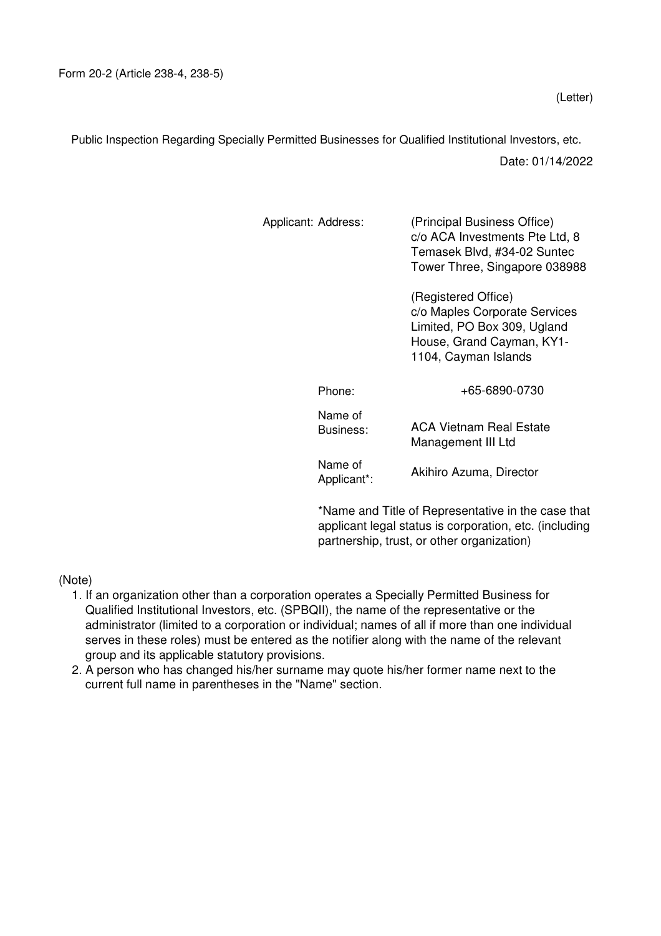Public Inspection Regarding Specially Permitted Businesses for Qualified Institutional Investors, etc.

Date: 01/14/2022

| Applicant: Address:    | (Principal Business Office)<br>c/o ACA Investments Pte Ltd, 8<br>Temasek Blvd, #34-02 Suntec<br>Tower Three, Singapore 038988            |
|------------------------|------------------------------------------------------------------------------------------------------------------------------------------|
|                        | (Registered Office)<br>c/o Maples Corporate Services<br>Limited, PO Box 309, Ugland<br>House, Grand Cayman, KY1-<br>1104, Cayman Islands |
| Phone:                 | +65-6890-0730                                                                                                                            |
| Name of<br>Business:   | ACA Vietnam Real Estate<br>Management III Ltd                                                                                            |
| Name of<br>Applicant*: | Akihiro Azuma, Director                                                                                                                  |
|                        |                                                                                                                                          |

\*Name and Title of Representative in the case that applicant legal status is corporation, etc. (including partnership, trust, or other organization)

(Note)

- 1. If an organization other than a corporation operates a Specially Permitted Business for Qualified Institutional Investors, etc. (SPBQII), the name of the representative or the administrator (limited to a corporation or individual; names of all if more than one individual serves in these roles) must be entered as the notifier along with the name of the relevant group and its applicable statutory provisions.
- 2. A person who has changed his/her surname may quote his/her former name next to the current full name in parentheses in the "Name" section.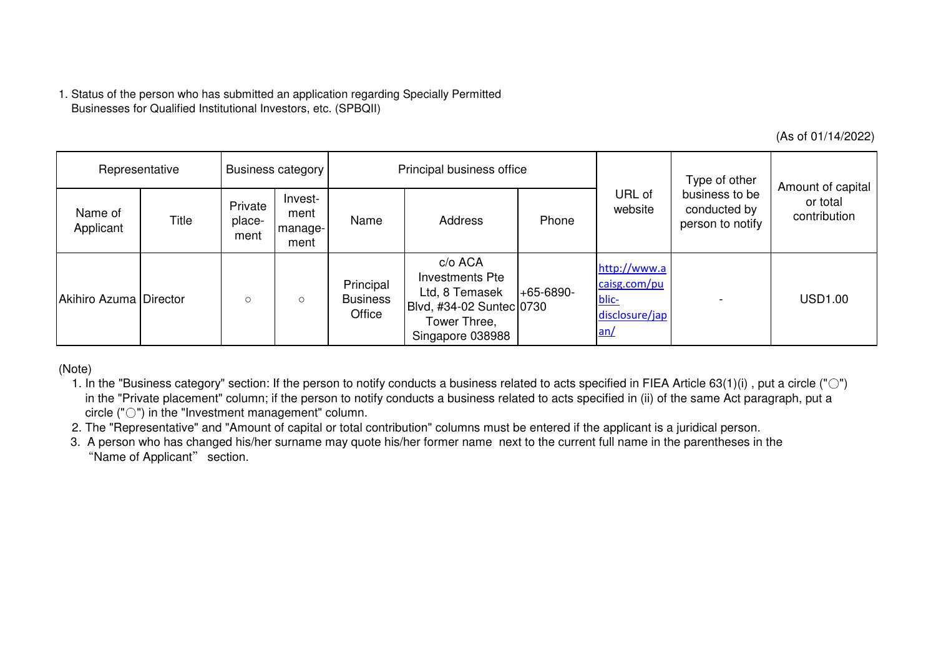|                        |                                                                                                      |                           |                                    |                                        |                                                                                                                                                                                                                                                                                                                                                                                                                                                                                                                                                                                                      |             |                                                                |                                                    | (As of 01/14/2022)                            |
|------------------------|------------------------------------------------------------------------------------------------------|---------------------------|------------------------------------|----------------------------------------|------------------------------------------------------------------------------------------------------------------------------------------------------------------------------------------------------------------------------------------------------------------------------------------------------------------------------------------------------------------------------------------------------------------------------------------------------------------------------------------------------------------------------------------------------------------------------------------------------|-------------|----------------------------------------------------------------|----------------------------------------------------|-----------------------------------------------|
| Representative         |                                                                                                      | <b>Business category</b>  |                                    | Principal business office              |                                                                                                                                                                                                                                                                                                                                                                                                                                                                                                                                                                                                      |             |                                                                | Type of other                                      |                                               |
| Name of<br>Applicant   | Title                                                                                                | Private<br>place-<br>ment | Invest-<br>ment<br>manage-<br>ment | Name                                   | Address                                                                                                                                                                                                                                                                                                                                                                                                                                                                                                                                                                                              | Phone       | URL of<br>website                                              | business to be<br>conducted by<br>person to notify | Amount of capital<br>or total<br>contribution |
| Akihiro Azuma Director |                                                                                                      | $\circ$                   | $\circ$                            | Principal<br><b>Business</b><br>Office | c/o ACA<br><b>Investments Pte</b><br>Ltd, 8 Temasek<br>Blvd, #34-02 Suntec 0730<br>Tower Three,<br>Singapore 038988                                                                                                                                                                                                                                                                                                                                                                                                                                                                                  | $+65-6890-$ | http://www.a<br>caisg.com/pu<br>blic-<br>disclosure/jap<br>an/ |                                                    | <b>USD1.00</b>                                |
| (Note)                 | circle $($ " $\bigcirc$ " $)$ in the "Investment management" column.<br>"Name of Applicant" section. |                           |                                    |                                        | 1. In the "Business category" section: If the person to notify conducts a business related to acts specified in FIEA Article 63(1)(i), put a circle (" $\circ$ ")<br>in the "Private placement" column; if the person to notify conducts a business related to acts specified in (ii) of the same Act paragraph, put a<br>2. The "Representative" and "Amount of capital or total contribution" columns must be entered if the applicant is a juridical person.<br>3. A person who has changed his/her surname may quote his/her former name next to the current full name in the parentheses in the |             |                                                                |                                                    |                                               |

- 1. In the "Business category" section: If the person to notify conducts a business related to acts specified in FIEA Article 63(1)(i) , put a circle ("○") in the "Private placement" column; if the person to notify conducts a business related to acts specified in (ii) of the same Act paragraph, put acircle ("○") in the "Investment management" column.
- 2. The "Representative" and "Amount of capital or total contribution" columns must be entered if the applicant is a juridical person.
- 3. A person who has changed his/her surname may quote his/her former name next to the current full name in the parentheses in the"Name of Applicant" section.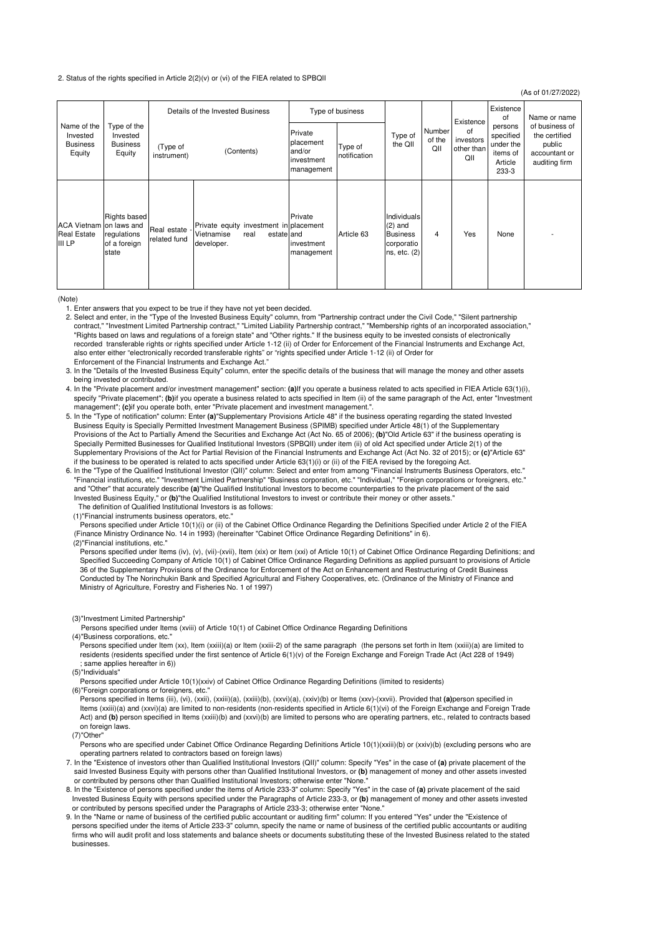## 2. Status of the rights specified in Article 2(2)(v) or (vi) of the FIEA related to SPBQII

| (As of 01/27/2022)                                                                            |                                                             |                                  |                                                                                          |                                                            |                         |                                                                           |                         |                                      |                                                                   |                                                                             |
|-----------------------------------------------------------------------------------------------|-------------------------------------------------------------|----------------------------------|------------------------------------------------------------------------------------------|------------------------------------------------------------|-------------------------|---------------------------------------------------------------------------|-------------------------|--------------------------------------|-------------------------------------------------------------------|-----------------------------------------------------------------------------|
| Name of the<br>Invested<br>Invested<br><b>Business</b><br><b>Business</b><br>Equity<br>Equity |                                                             | Details of the Invested Business |                                                                                          | Type of business                                           |                         |                                                                           |                         | Existence                            | Existence<br>0f                                                   | Name or name                                                                |
|                                                                                               | Type of the                                                 | (Type of<br>instrument)          | (Contents)                                                                               | Private<br>placement<br>and/or<br>investment<br>management | Type of<br>notification | Type of<br>the QII                                                        | Number<br>of the<br>QII | of<br>investors<br>other than<br>ΩII | persons<br>specified<br>under the<br>items of<br>Article<br>233-3 | of business of<br>the certified<br>public<br>accountant or<br>auditing firm |
| ACA Vietnam on laws and<br><b>Real Estate</b><br><b>III LP</b>                                | <b>Rights based</b><br>regulations<br>of a foreign<br>state | Real estate<br>related fund      | Private equity investment in placement<br>Vietnamise<br>real<br>estate and<br>developer. | Private<br>investment<br>management                        | Article 63              | Individuals<br>$(2)$ and<br><b>Business</b><br>corporatio<br>ns, etc. (2) | 4                       | Yes                                  | None                                                              |                                                                             |

(Note)

1. Enter answers that you expect to be true if they have not yet been decided.

 2. Select and enter, in the "Type of the Invested Business Equity" column, from "Partnership contract under the Civil Code," "Silent partnership contract," "Investment Limited Partnership contract," "Limited Liability Partnership contract," "Membership rights of an incorporated association," "Rights based on laws and regulations of a foreign state" and "Other rights." If the business equity to be invested consists of electronically recorded transferable rights or rights specified under Article 1-12 (ii) of Order for Enforcement of the Financial Instruments and Exchange Act, also enter either "electronically recorded transferable rights" or "rights specified under Article 1-12 (ii) of Order for Enforcement of the Financial Instruments and Exchange Act."

 3. In the "Details of the Invested Business Equity" column, enter the specific details of the business that will manage the money and other assets being invested or contributed.

 4. In the "Private placement and/or investment management" section: **(a)**If you operate a business related to acts specified in FIEA Article 63(1)(i), specify "Private placement"; **(b)**if you operate a business related to acts specified in Item (ii) of the same paragraph of the Act, enter "Investment management"; **(c)**if you operate both, enter "Private placement and investment management.".

 5. In the "Type of notification" column: Enter **(a)**"Supplementary Provisions Article 48" if the business operating regarding the stated Invested Business Equity is Specially Permitted Investment Management Business (SPIMB) specified under Article 48(1) of the Supplementary Provisions of the Act to Partially Amend the Securities and Exchange Act (Act No. 65 of 2006); **(b)**"Old Article 63" if the business operating is Specially Permitted Businesses for Qualified Institutional Investors (SPBQII) under item (ii) of old Act specified under Article 2(1) of the Supplementary Provisions of the Act for Partial Revision of the Financial Instruments and Exchange Act (Act No. 32 of 2015); or **(c)**"Article 63" if the business to be operated is related to acts specified under Article 63(1)(i) or (ii) of the FIEA revised by the foregoing Act.

 6. In the "Type of the Qualified Institutional Investor (QII)" column: Select and enter from among "Financial Instruments Business Operators, etc." "Financial institutions, etc." "Investment Limited Partnership" "Business corporation, etc." "Individual," "Foreign corporations or foreigners, etc." and "Other" that accurately describe **(a)**"the Qualified Institutional Investors to become counterparties to the private placement of the said Invested Business Equity," or **(b)**"the Qualified Institutional Investors to invest or contribute their money or other assets." The definition of Qualified Institutional Investors is as follows:

(1)"Financial instruments business operators, etc."

 Persons specified under Article 10(1)(i) or (ii) of the Cabinet Office Ordinance Regarding the Definitions Specified under Article 2 of the FIEA (Finance Ministry Ordinance No. 14 in 1993) (hereinafter "Cabinet Office Ordinance Regarding Definitions" in 6).

(2)"Financial institutions, etc."

Persons specified under Items (iv), (v), (vii)-(xvii), Item (xix) or Item (xxi) of Article 10(1) of Cabinet Office Ordinance Regarding Definitions; and Specified Succeeding Company of Article 10(1) of Cabinet Office Ordinance Regarding Definitions as applied pursuant to provisions of Article 36 of the Supplementary Provisions of the Ordinance for Enforcement of the Act on Enhancement and Restructuring of Credit Business Conducted by The Norinchukin Bank and Specified Agricultural and Fishery Cooperatives, etc. (Ordinance of the Ministry of Finance and Ministry of Agriculture, Forestry and Fisheries No. 1 of 1997)

(3)"Investment Limited Partnership"

 Persons specified under Items (xviii) of Article 10(1) of Cabinet Office Ordinance Regarding Definitions (4)"Business corporations, etc."

 Persons specified under Item (xx), Item (xxiii)(a) or Item (xxiii-2) of the same paragraph (the persons set forth in Item (xxiii)(a) are limited to residents (residents specified under the first sentence of Article 6(1)(v) of the Foreign Exchange and Foreign Trade Act (Act 228 of 1949) ; same applies hereafter in 6))

(5)"Individuals"

Persons specified under Article 10(1)(xxiv) of Cabinet Office Ordinance Regarding Definitions (limited to residents)

(6)"Foreign corporations or foreigners, etc. Persons specified in Items (iii), (vi), (xxii), (xxiii)(a), (xxiii)(b), (xxvi)(a), (xxiv)(b) or Items (xxv)-(xxvii). Provided that **(a)**person specified in Items (xxiii)(a) and (xxvi)(a) are limited to non-residents (non-residents specified in Article 6(1)(vi) of the Foreign Exchange and Foreign Trade Act) and **(b)** person specified in Items (xxiii)(b) and (xxvi)(b) are limited to persons who are operating partners, etc., related to contracts based on foreign laws.

(7)"Other"

 Persons who are specified under Cabinet Office Ordinance Regarding Definitions Article 10(1)(xxiii)(b) or (xxiv)(b) (excluding persons who are operating partners related to contractors based on foreign laws)

 7. In the "Existence of investors other than Qualified Institutional Investors (QII)" column: Specify "Yes" in the case of **(a)** private placement of the said Invested Business Equity with persons other than Qualified Institutional Investors, or **(b)** management of money and other assets invested or contributed by persons other than Qualified Institutional Investors; otherwise enter "None.

 8. In the "Existence of persons specified under the items of Article 233-3" column: Specify "Yes" in the case of **(a)** private placement of the said Invested Business Equity with persons specified under the Paragraphs of Article 233-3, or **(b)** management of money and other assets invested or contributed by persons specified under the Paragraphs of Article 233-3; otherwise enter "None."

 9. In the "Name or name of business of the certified public accountant or auditing firm" column: If you entered "Yes" under the "Existence of persons specified under the items of Article 233-3" column, specify the name or name of business of the certified public accountants or auditing firms who will audit profit and loss statements and balance sheets or documents substituting these of the Invested Business related to the stated businesses.